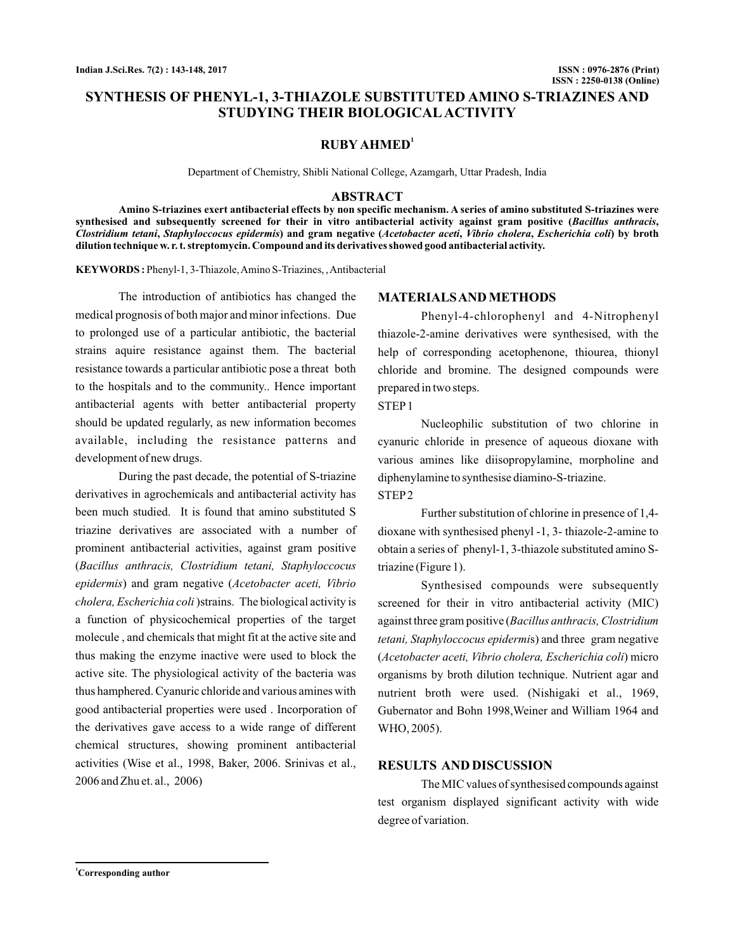# **SYNTHESIS OF PHENYL-1, 3-THIAZOLE SUBSTITUTED AMINO S-TRIAZINES AND STUDYING THEIR BIOLOGICAL ACTIVITY**

# **RUBY AHMED<sup>1</sup>**

Department of Chemistry, Shibli National College, Azamgarh, Uttar Pradesh, India

### **ABSTRACT**

**Amino S-triazines exert antibacterial effects by non specific mechanism. A series of amino substituted S-triazines were** synthesised and subsequently screened for their in vitro antibacterial activity against gram positive (*Bacillus anthracis*, Clostridium tetani, Staphyloccocus epidermis) and gram negative (Acetobacter aceti, Vibrio cholera, Escherichia coli) by broth **dilution technique w. r. t. streptomycin. Compound and its derivatives showed good antibacterial activity.**

**KEYWORDS :** Phenyl-1, 3-Thiazole,Amino S-Triazines, ,Antibacterial

The introduction of antibiotics has changed the medical prognosis of both major and minor infections. Due to prolonged use of a particular antibiotic, the bacterial strains aquire resistance against them. The bacterial resistance towards a particular antibiotic pose a threat both to the hospitals and to the community.. Hence important antibacterial agents with better antibacterial property should be updated regularly, as new information becomes available, including the resistance patterns and development of new drugs.

During the past decade, the potential of S-triazine derivatives in agrochemicals and antibacterial activity has been much studied. It is found that amino substituted S triazine derivatives are associated with a number of prominent antibacterial activities, against gram positive ( *Bacillus anthracis, Clostridium tetani, Staphyloccocus* epidermis) and gram negative (Acetobacter aceti, Vibrio *cholera, Escherichia coli*) strains. The biological activity is a function of physicochemical properties of the target molecule , and chemicals that might fit at the active site and thus making the enzyme inactive were used to block the active site. The physiological activity of the bacteria was thus hamphered. Cyanuric chloride and various amines with good antibacterial properties were used . Incorporation of the derivatives gave access to a wide range of different chemical structures, showing prominent antibacterial activities (Wise et al., 1998, Baker, 2006. Srinivas et al., 2006 and Zhu et. al., 2006)

# **MATERIALSAND METHODS**

Phenyl-4-chlorophenyl and 4-Nitrophenyl thiazole-2-amine derivatives were synthesised, with the help of corresponding acetophenone, thiourea, thionyl chloride and bromine. The designed compounds were prepared in two steps.

# STEP1

Nucleophilic substitution of two chlorine in cyanuric chloride in presence of aqueous dioxane with various amines like diisopropylamine, morpholine and diphenylamine to synthesise diamino-S-triazine. STEP2

Further substitution of chlorine in presence of 1,4 dioxane with synthesised phenyl -1, 3- thiazole-2-amine to obtain a series of phenyl-1, 3-thiazole substituted amino Striazine (Figure 1).

Synthesised compounds were subsequently screened for their in vitro antibacterial activity (MIC) against three gram positive ( *Bacillus anthracis, Clostridium tetani, Staphyloccocus epidermis*) and three gram negative (Acetobacter aceti, Vibrio cholera, Escherichia coli) micro organisms by broth dilution technique. Nutrient agar and nutrient broth were used. (Nishigaki et al., 1969, Gubernator and Bohn 1998,Weiner and William 1964 and WHO, 2005).

# **RESULTS AND DISCUSSION**

The MIC values of synthesised compounds against test organism displayed significant activity with wide degree of variation.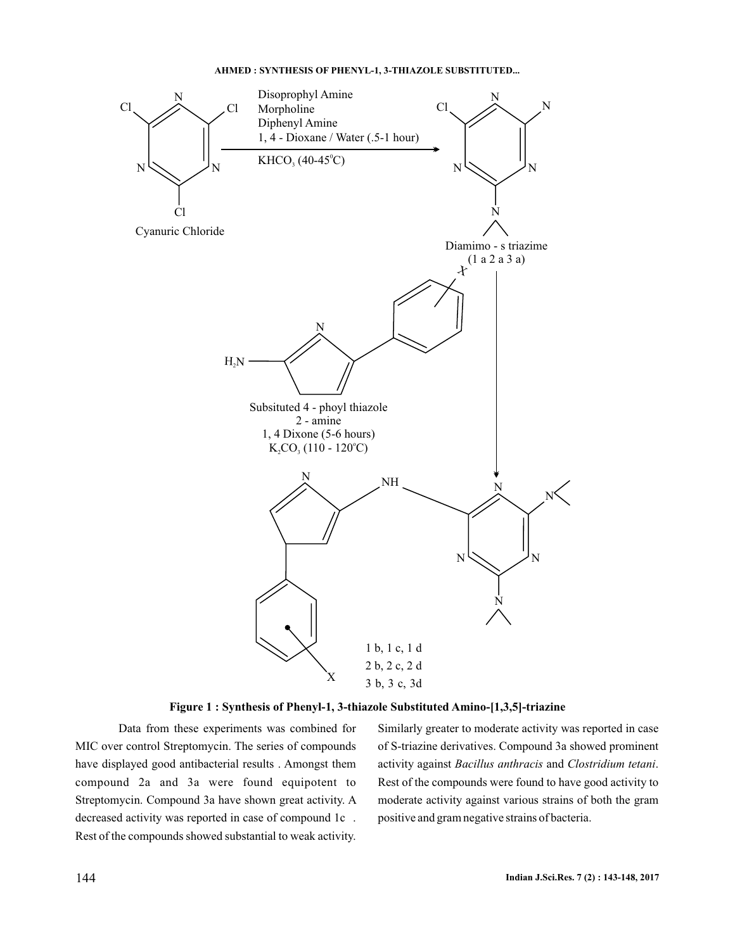#### **AHMED : SYNTHESIS OF PHENYL-1, 3-THIAZOLE SUBSTITUTED...**



# **Figure 1 : Synthesis of Phenyl-1, 3-thiazole Substituted Amino-[1,3,5]-triazine**

Data from these experiments was combined for MIC over control Streptomycin. The series of compounds have displayed good antibacterial results . Amongst them compound 2a and 3a were found equipotent to Streptomycin. Compound 3a have shown great activity. A decreased activity was reported in case of compound 1c . Rest of the compounds showed substantial to weak activity.

Similarly greater to moderate activity was reported in case of S-triazine derivatives. Compound 3a showed prominent activity against Bacillus anthracis and Clostridium tetani. Rest of the compounds were found to have good activity to moderate activity against various strains of both the gram positive and gram negative strains of bacteria.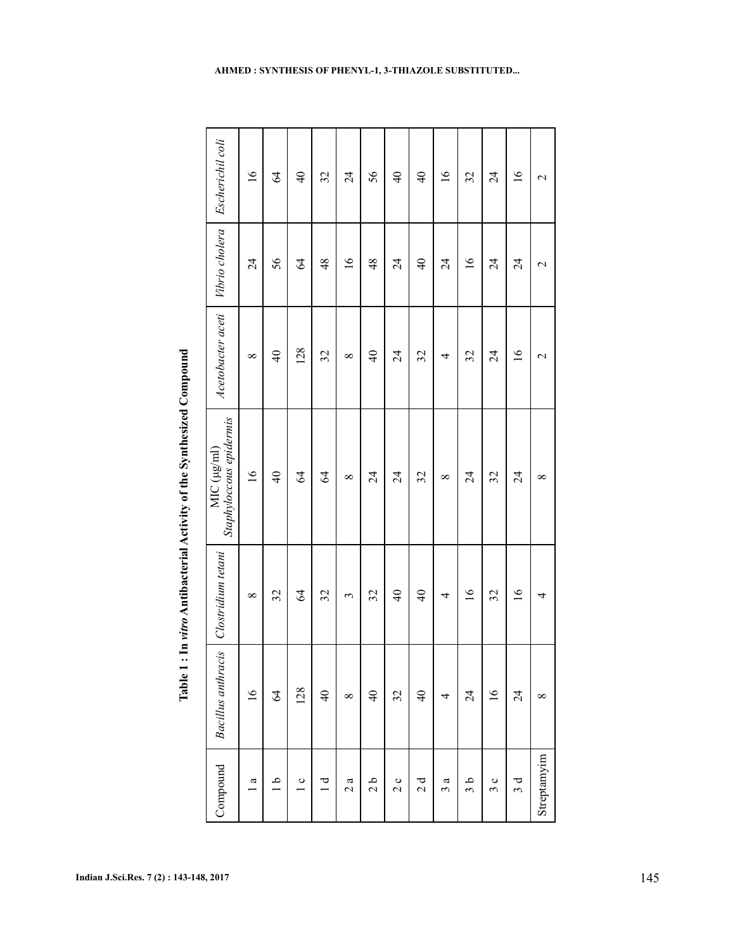| Compound        | <b>Bacillus</b> anthracis | Clostridium tetani   | Staphyloccous epidermis<br>$MIC$ ( $\mu$ $g$ /ml) | Acetobacter aceti    | Vibrio cholera  | Escherichil coli |
|-----------------|---------------------------|----------------------|---------------------------------------------------|----------------------|-----------------|------------------|
| $\mathfrak{a}$  | $\overline{16}$           | $\infty$             | $\overline{16}$                                   | $\infty$             | $\overline{24}$ | $\overline{16}$  |
| $\frac{a}{1}$   | $\mathcal{Z}$             | 32                   | $\overline{4}$                                    | $\frac{4}{\sqrt{2}}$ | 56              | $\mathcal{Z}$    |
| $\frac{c}{1}$   | 128                       | 64                   | $\mathcal{Z}$                                     | 128                  | $\mathcal{Z}$   | $\frac{1}{4}$    |
| $\frac{1}{1}$   | $\Theta$                  | 32                   | $\mathcal{Z}$                                     | 32                   | $\frac{48}{5}$  | $\mathfrak{L}$   |
| 2a              | ${}^{\infty}$             | 3                    | $\infty$                                          | $\infty$             | $\overline{16}$ | $\overline{24}$  |
| $\frac{1}{2}$   | $\Theta$                  | 32                   | $\overline{24}$                                   | $\overline{40}$      | $\frac{48}{5}$  | 56               |
| 2c              | 32                        | $\frac{4}{\sqrt{2}}$ | $\overline{24}$                                   | $\overline{24}$      | $\overline{24}$ | $\frac{1}{4}$    |
| 2d              | $\overline{4}$            | $\frac{1}{4}$        | 32                                                | 32                   | $\overline{4}$  | $\overline{4}$   |
| ß<br>$\epsilon$ | 4                         | 4                    | $\infty$                                          | 4                    | $\overline{24}$ | $\overline{16}$  |
| م<br>و          | $\overline{24}$           | $\overline{16}$      | $\overline{24}$                                   | 32                   | $\overline{16}$ | 32               |
| 3c              | $\overline{16}$           | 32                   | 32                                                | $\overline{24}$      | $\overline{24}$ | $\overline{24}$  |
| 3d              | $\overline{24}$           | $\overline{16}$      | $\overline{24}$                                   | $\overline{16}$      | $\overline{24}$ | $\overline{16}$  |
| Streptamyim     | $\infty$                  | 4                    | $\infty$                                          | $\mathcal{L}$        | $\mathbf 2$     | $\mathbf 2$      |

Table 1: In vitro Antibacterial Activity of the Synthesized Compound **Table 1 : In Antibacterial Activity of the Synthesized Compound** *vitro*  $\Gamma$ 

# **AHMED : SYNTHESIS OF PHENYL-1, 3-THIAZOLE SUBSTITUTED...**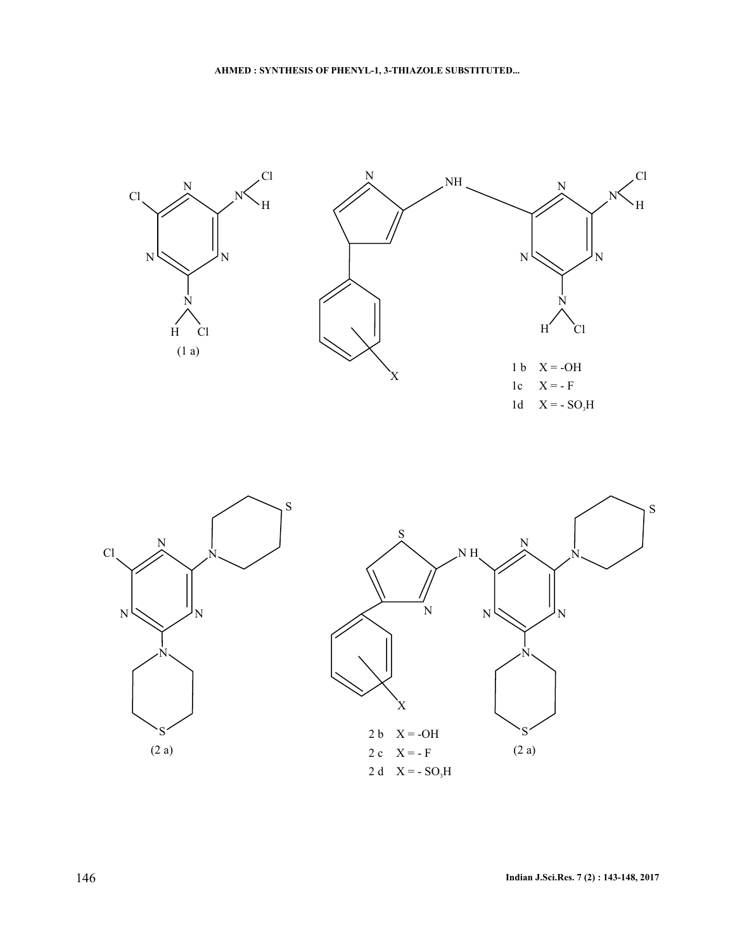

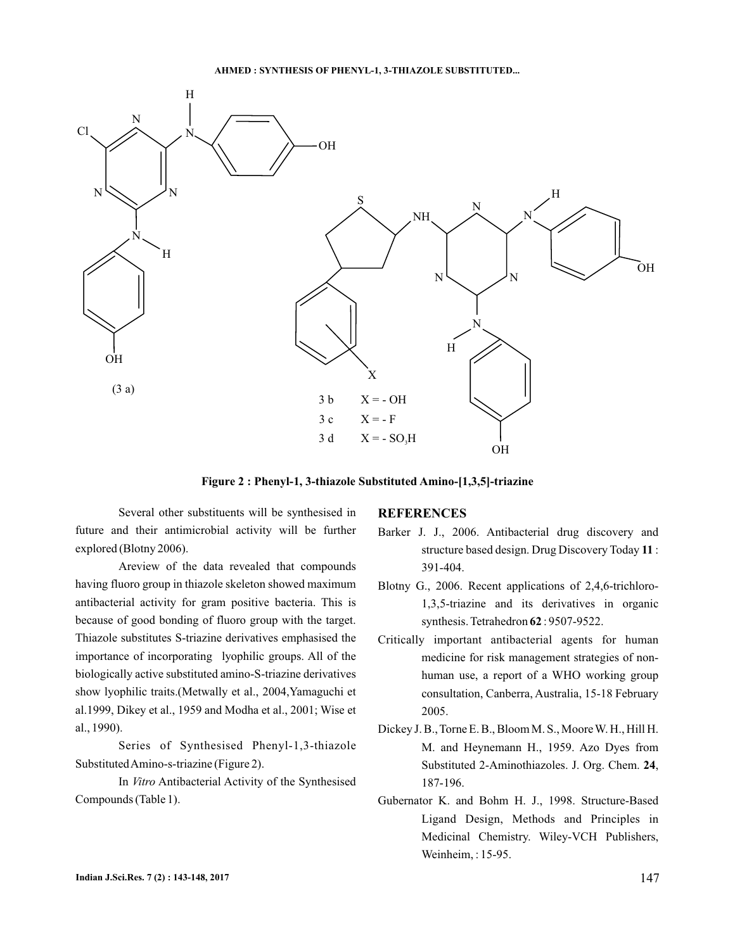

**Figure 2 : Phenyl-1, 3-thiazole Substituted Amino-[1,3,5]-triazine**

Several other substituents will be synthesised in future and their antimicrobial activity will be further explored (Blotny 2006).

Areview of the data revealed that compounds having fluoro group in thiazole skeleton showed maximum antibacterial activity for gram positive bacteria. This is because of good bonding of fluoro group with the target. Thiazole substitutes S-triazine derivatives emphasised the importance of incorporating lyophilic groups. All of the biologically active substituted amino-S-triazine derivatives show lyophilic traits.(Metwally et al., 2004,Yamaguchi et al.1999, Dikey et al., 1959 and Modha et al., 2001; Wise et al., 1990).

Series of Synthesised Phenyl-1,3-thiazole SubstitutedAmino-s-triazine (Figure 2).

In Vitro Antibacterial Activity of the Synthesised Compounds (Table 1).

### **REFERENCES**

- Barker J. J., 2006. Antibacterial drug discovery and structure based design. Drug Discovery Today 11: 391-404.
- Blotny G., 2006. Recent applications of 2,4,6-trichloro-1,3,5-triazine and its derivatives in organic synthesis. Tetrahedron **62**: 9507-9522.
- Critically important antibacterial agents for human medicine for risk management strategies of nonhuman use, a report of a WHO working group consultation, Canberra, Australia, 15-18 February 2005.
- Dickey J. B., Torne E. B., Bloom M. S., Moore W. H., Hill H. M. and Heynemann H., 1959. Azo Dyes from Substituted 2-Aminothiazoles. J. Org. Chem. 24, 187-196.
- Gubernator K. and Bohm H. J., 1998. Structure-Based Ligand Design, Methods and Principles in Medicinal Chemistry. Wiley-VCH Publishers, Weinheim, : 15-95.